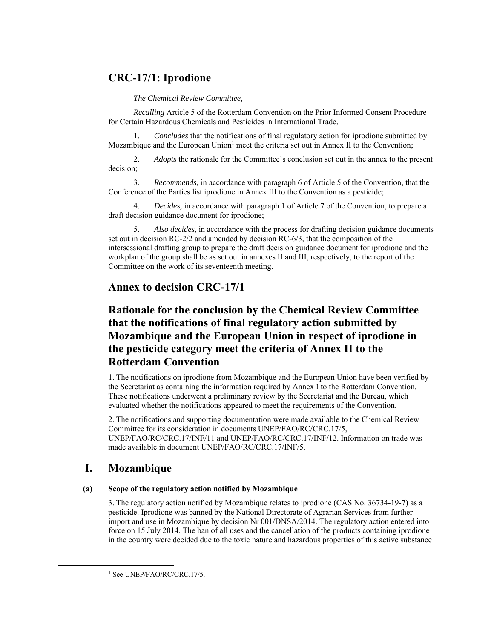## **CRC-17/1: Iprodione**

*The Chemical Review Committee,* 

*Recalling* Article 5 of the Rotterdam Convention on the Prior Informed Consent Procedure for Certain Hazardous Chemicals and Pesticides in International Trade,

1. *Concludes* that the notifications of final regulatory action for iprodione submitted by Mozambique and the European Union<sup>1</sup> meet the criteria set out in Annex II to the Convention;

2. *Adopts* the rationale for the Committee's conclusion set out in the annex to the present decision;

3. *Recommends,* in accordance with paragraph 6 of Article 5 of the Convention, that the Conference of the Parties list iprodione in Annex III to the Convention as a pesticide;

4. *Decides,* in accordance with paragraph 1 of Article 7 of the Convention, to prepare a draft decision guidance document for iprodione;

5. *Also decides*, in accordance with the process for drafting decision guidance documents set out in decision RC-2/2 and amended by decision RC-6/3, that the composition of the intersessional drafting group to prepare the draft decision guidance document for iprodione and the workplan of the group shall be as set out in annexes II and III, respectively, to the report of the Committee on the work of its seventeenth meeting.

# **Annex to decision CRC-17/1**

# **Rationale for the conclusion by the Chemical Review Committee that the notifications of final regulatory action submitted by Mozambique and the European Union in respect of iprodione in the pesticide category meet the criteria of Annex II to the Rotterdam Convention**

1. The notifications on iprodione from Mozambique and the European Union have been verified by the Secretariat as containing the information required by Annex I to the Rotterdam Convention. These notifications underwent a preliminary review by the Secretariat and the Bureau, which evaluated whether the notifications appeared to meet the requirements of the Convention.

2. The notifications and supporting documentation were made available to the Chemical Review Committee for its consideration in documents UNEP/FAO/RC/CRC.17/5, UNEP/FAO/RC/CRC.17/INF/11 and UNEP/FAO/RC/CRC.17/INF/12. Information on trade was made available in document UNEP/FAO/RC/CRC.17/INF/5.

# **I. Mozambique**

### **(a) Scope of the regulatory action notified by Mozambique**

3. The regulatory action notified by Mozambique relates to iprodione (CAS No. 36734-19-7) as a pesticide. Iprodione was banned by the National Directorate of Agrarian Services from further import and use in Mozambique by decision Nr 001/DNSA/2014. The regulatory action entered into force on 15 July 2014. The ban of all uses and the cancellation of the products containing iprodione in the country were decided due to the toxic nature and hazardous properties of this active substance

<sup>&</sup>lt;sup>1</sup> See UNEP/FAO/RC/CRC.17/5.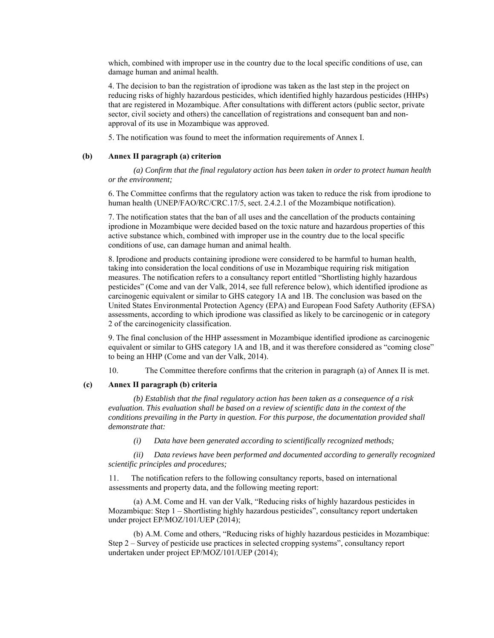which, combined with improper use in the country due to the local specific conditions of use, can damage human and animal health.

4. The decision to ban the registration of iprodione was taken as the last step in the project on reducing risks of highly hazardous pesticides, which identified highly hazardous pesticides (HHPs) that are registered in Mozambique. After consultations with different actors (public sector, private sector, civil society and others) the cancellation of registrations and consequent ban and nonapproval of its use in Mozambique was approved.

5. The notification was found to meet the information requirements of Annex I.

#### **(b) Annex II paragraph (a) criterion**

*(a) Confirm that the final regulatory action has been taken in order to protect human health or the environment;* 

6. The Committee confirms that the regulatory action was taken to reduce the risk from iprodione to human health (UNEP/FAO/RC/CRC.17/5, sect. 2.4.2.1 of the Mozambique notification).

7. The notification states that the ban of all uses and the cancellation of the products containing iprodione in Mozambique were decided based on the toxic nature and hazardous properties of this active substance which, combined with improper use in the country due to the local specific conditions of use, can damage human and animal health.

8. Iprodione and products containing iprodione were considered to be harmful to human health, taking into consideration the local conditions of use in Mozambique requiring risk mitigation measures. The notification refers to a consultancy report entitled "Shortlisting highly hazardous pesticides" (Come and van der Valk, 2014, see full reference below), which identified iprodione as carcinogenic equivalent or similar to GHS category 1A and 1B. The conclusion was based on the United States Environmental Protection Agency (EPA) and European Food Safety Authority (EFSA) assessments, according to which iprodione was classified as likely to be carcinogenic or in category 2 of the carcinogenicity classification.

9. The final conclusion of the HHP assessment in Mozambique identified iprodione as carcinogenic equivalent or similar to GHS category 1A and 1B, and it was therefore considered as "coming close" to being an HHP (Come and van der Valk, 2014).

10. The Committee therefore confirms that the criterion in paragraph (a) of Annex II is met.

#### **(c) Annex II paragraph (b) criteria**

*(b) Establish that the final regulatory action has been taken as a consequence of a risk evaluation. This evaluation shall be based on a review of scientific data in the context of the conditions prevailing in the Party in question. For this purpose, the documentation provided shall demonstrate that:* 

*(i) Data have been generated according to scientifically recognized methods;* 

*(ii) Data reviews have been performed and documented according to generally recognized scientific principles and procedures;* 

11. The notification refers to the following consultancy reports, based on international assessments and property data, and the following meeting report:

(a) A.M. Come and H. van der Valk, "Reducing risks of highly hazardous pesticides in Mozambique: Step 1 – Shortlisting highly hazardous pesticides", consultancy report undertaken under project EP/MOZ/101/UEP (2014);

(b) A.M. Come and others, "Reducing risks of highly hazardous pesticides in Mozambique: Step 2 – Survey of pesticide use practices in selected cropping systems", consultancy report undertaken under project EP/MOZ/101/UEP (2014);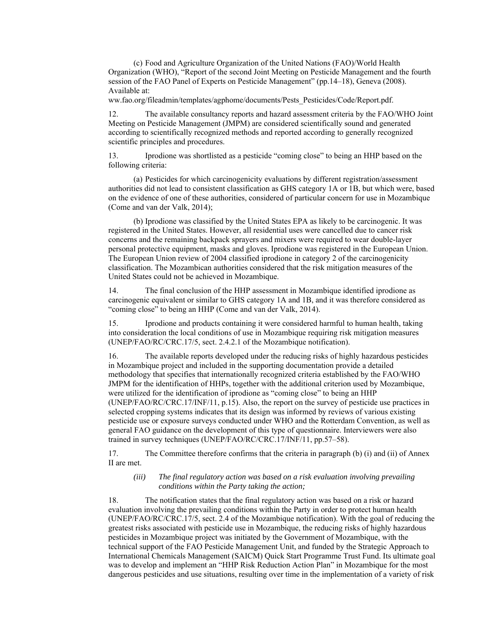(c) Food and Agriculture Organization of the United Nations (FAO)/World Health Organization (WHO), "Report of the second Joint Meeting on Pesticide Management and the fourth session of the FAO Panel of Experts on Pesticide Management" (pp.14–18), Geneva (2008). Available at:

ww.fao.org/fileadmin/templates/agphome/documents/Pests\_Pesticides/Code/Report.pdf.

12. The available consultancy reports and hazard assessment criteria by the FAO/WHO Joint Meeting on Pesticide Management (JMPM) are considered scientifically sound and generated according to scientifically recognized methods and reported according to generally recognized scientific principles and procedures.

13. Iprodione was shortlisted as a pesticide "coming close" to being an HHP based on the following criteria:

(a) Pesticides for which carcinogenicity evaluations by different registration/assessment authorities did not lead to consistent classification as GHS category 1A or 1B, but which were, based on the evidence of one of these authorities, considered of particular concern for use in Mozambique (Come and van der Valk, 2014);

(b) Iprodione was classified by the United States EPA as likely to be carcinogenic. It was registered in the United States. However, all residential uses were cancelled due to cancer risk concerns and the remaining backpack sprayers and mixers were required to wear double-layer personal protective equipment, masks and gloves. Iprodione was registered in the European Union. The European Union review of 2004 classified iprodione in category 2 of the carcinogenicity classification. The Mozambican authorities considered that the risk mitigation measures of the United States could not be achieved in Mozambique.

14. The final conclusion of the HHP assessment in Mozambique identified iprodione as carcinogenic equivalent or similar to GHS category 1A and 1B, and it was therefore considered as "coming close" to being an HHP (Come and van der Valk, 2014).

15. Iprodione and products containing it were considered harmful to human health, taking into consideration the local conditions of use in Mozambique requiring risk mitigation measures (UNEP/FAO/RC/CRC.17/5, sect. 2.4.2.1 of the Mozambique notification).

16. The available reports developed under the reducing risks of highly hazardous pesticides in Mozambique project and included in the supporting documentation provide a detailed methodology that specifies that internationally recognized criteria established by the FAO/WHO JMPM for the identification of HHPs, together with the additional criterion used by Mozambique, were utilized for the identification of iprodione as "coming close" to being an HHP (UNEP/FAO/RC/CRC.17/INF/11, p.15). Also, the report on the survey of pesticide use practices in selected cropping systems indicates that its design was informed by reviews of various existing pesticide use or exposure surveys conducted under WHO and the Rotterdam Convention, as well as general FAO guidance on the development of this type of questionnaire. Interviewers were also trained in survey techniques (UNEP/FAO/RC/CRC.17/INF/11, pp.57–58).

17. The Committee therefore confirms that the criteria in paragraph (b) (i) and (ii) of Annex II are met.

#### *(iii) The final regulatory action was based on a risk evaluation involving prevailing conditions within the Party taking the action;*

18. The notification states that the final regulatory action was based on a risk or hazard evaluation involving the prevailing conditions within the Party in order to protect human health (UNEP/FAO/RC/CRC.17/5, sect. 2.4 of the Mozambique notification). With the goal of reducing the greatest risks associated with pesticide use in Mozambique, the reducing risks of highly hazardous pesticides in Mozambique project was initiated by the Government of Mozambique, with the technical support of the FAO Pesticide Management Unit, and funded by the Strategic Approach to International Chemicals Management (SAICM) Quick Start Programme Trust Fund. Its ultimate goal was to develop and implement an "HHP Risk Reduction Action Plan" in Mozambique for the most dangerous pesticides and use situations, resulting over time in the implementation of a variety of risk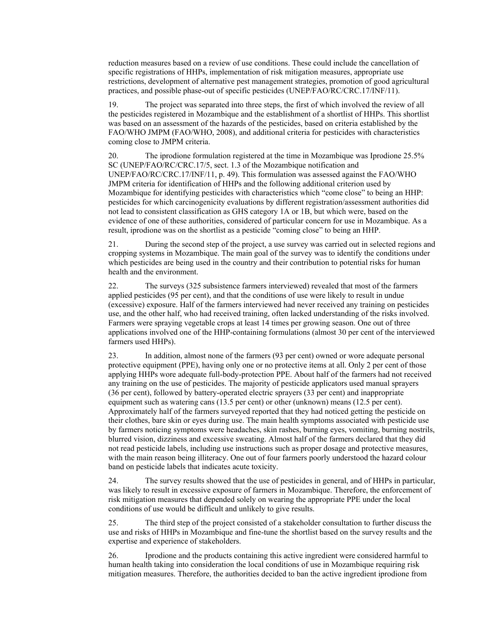reduction measures based on a review of use conditions. These could include the cancellation of specific registrations of HHPs, implementation of risk mitigation measures, appropriate use restrictions, development of alternative pest management strategies, promotion of good agricultural practices, and possible phase-out of specific pesticides (UNEP/FAO/RC/CRC.17/INF/11).

19. The project was separated into three steps, the first of which involved the review of all the pesticides registered in Mozambique and the establishment of a shortlist of HHPs. This shortlist was based on an assessment of the hazards of the pesticides, based on criteria established by the FAO/WHO JMPM (FAO/WHO, 2008), and additional criteria for pesticides with characteristics coming close to JMPM criteria.

20. The iprodione formulation registered at the time in Mozambique was Iprodione 25.5% SC (UNEP/FAO/RC/CRC.17/5, sect. 1.3 of the Mozambique notification and UNEP/FAO/RC/CRC.17/INF/11, p. 49). This formulation was assessed against the FAO/WHO JMPM criteria for identification of HHPs and the following additional criterion used by Mozambique for identifying pesticides with characteristics which "come close" to being an HHP: pesticides for which carcinogenicity evaluations by different registration/assessment authorities did not lead to consistent classification as GHS category 1A or 1B, but which were, based on the evidence of one of these authorities, considered of particular concern for use in Mozambique. As a result, iprodione was on the shortlist as a pesticide "coming close" to being an HHP.

21. During the second step of the project, a use survey was carried out in selected regions and cropping systems in Mozambique. The main goal of the survey was to identify the conditions under which pesticides are being used in the country and their contribution to potential risks for human health and the environment.

22. The surveys (325 subsistence farmers interviewed) revealed that most of the farmers applied pesticides (95 per cent), and that the conditions of use were likely to result in undue (excessive) exposure. Half of the farmers interviewed had never received any training on pesticides use, and the other half, who had received training, often lacked understanding of the risks involved. Farmers were spraying vegetable crops at least 14 times per growing season. One out of three applications involved one of the HHP-containing formulations (almost 30 per cent of the interviewed farmers used HHPs).

23. In addition, almost none of the farmers (93 per cent) owned or wore adequate personal protective equipment (PPE), having only one or no protective items at all. Only 2 per cent of those applying HHPs wore adequate full-body-protection PPE. About half of the farmers had not received any training on the use of pesticides. The majority of pesticide applicators used manual sprayers (36 per cent), followed by battery-operated electric sprayers (33 per cent) and inappropriate equipment such as watering cans (13.5 per cent) or other (unknown) means (12.5 per cent). Approximately half of the farmers surveyed reported that they had noticed getting the pesticide on their clothes, bare skin or eyes during use. The main health symptoms associated with pesticide use by farmers noticing symptoms were headaches, skin rashes, burning eyes, vomiting, burning nostrils, blurred vision, dizziness and excessive sweating. Almost half of the farmers declared that they did not read pesticide labels, including use instructions such as proper dosage and protective measures, with the main reason being illiteracy. One out of four farmers poorly understood the hazard colour band on pesticide labels that indicates acute toxicity.

24. The survey results showed that the use of pesticides in general, and of HHPs in particular, was likely to result in excessive exposure of farmers in Mozambique. Therefore, the enforcement of risk mitigation measures that depended solely on wearing the appropriate PPE under the local conditions of use would be difficult and unlikely to give results.

25. The third step of the project consisted of a stakeholder consultation to further discuss the use and risks of HHPs in Mozambique and fine-tune the shortlist based on the survey results and the expertise and experience of stakeholders.

26. Iprodione and the products containing this active ingredient were considered harmful to human health taking into consideration the local conditions of use in Mozambique requiring risk mitigation measures. Therefore, the authorities decided to ban the active ingredient iprodione from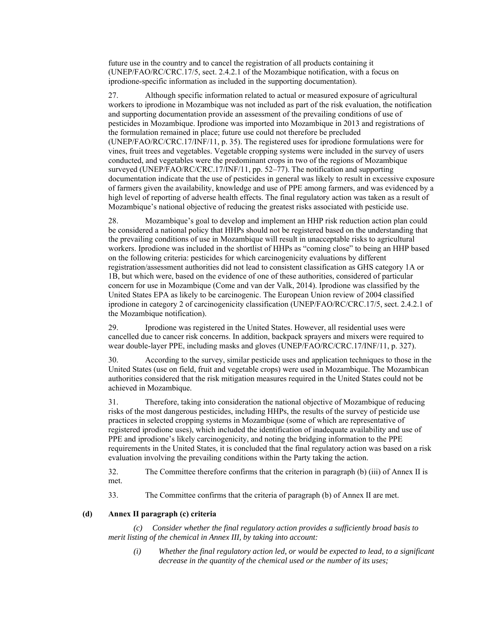future use in the country and to cancel the registration of all products containing it (UNEP/FAO/RC/CRC.17/5, sect. 2.4.2.1 of the Mozambique notification, with a focus on iprodione-specific information as included in the supporting documentation).

27. Although specific information related to actual or measured exposure of agricultural workers to iprodione in Mozambique was not included as part of the risk evaluation, the notification and supporting documentation provide an assessment of the prevailing conditions of use of pesticides in Mozambique. Iprodione was imported into Mozambique in 2013 and registrations of the formulation remained in place; future use could not therefore be precluded (UNEP/FAO/RC/CRC.17/INF/11, p. 35). The registered uses for iprodione formulations were for vines, fruit trees and vegetables. Vegetable cropping systems were included in the survey of users conducted, and vegetables were the predominant crops in two of the regions of Mozambique surveyed (UNEP/FAO/RC/CRC.17/INF/11, pp. 52–77). The notification and supporting documentation indicate that the use of pesticides in general was likely to result in excessive exposure of farmers given the availability, knowledge and use of PPE among farmers, and was evidenced by a high level of reporting of adverse health effects. The final regulatory action was taken as a result of Mozambique's national objective of reducing the greatest risks associated with pesticide use.

28. Mozambique's goal to develop and implement an HHP risk reduction action plan could be considered a national policy that HHPs should not be registered based on the understanding that the prevailing conditions of use in Mozambique will result in unacceptable risks to agricultural workers. Iprodione was included in the shortlist of HHPs as "coming close" to being an HHP based on the following criteria: pesticides for which carcinogenicity evaluations by different registration/assessment authorities did not lead to consistent classification as GHS category 1A or 1B, but which were, based on the evidence of one of these authorities, considered of particular concern for use in Mozambique (Come and van der Valk, 2014). Iprodione was classified by the United States EPA as likely to be carcinogenic. The European Union review of 2004 classified iprodione in category 2 of carcinogenicity classification (UNEP/FAO/RC/CRC.17/5, sect. 2.4.2.1 of the Mozambique notification).

29. Iprodione was registered in the United States. However, all residential uses were cancelled due to cancer risk concerns. In addition, backpack sprayers and mixers were required to wear double-layer PPE, including masks and gloves (UNEP/FAO/RC/CRC.17/INF/11, p. 327).

30. According to the survey, similar pesticide uses and application techniques to those in the United States (use on field, fruit and vegetable crops) were used in Mozambique. The Mozambican authorities considered that the risk mitigation measures required in the United States could not be achieved in Mozambique.

31. Therefore, taking into consideration the national objective of Mozambique of reducing risks of the most dangerous pesticides, including HHPs, the results of the survey of pesticide use practices in selected cropping systems in Mozambique (some of which are representative of registered iprodione uses), which included the identification of inadequate availability and use of PPE and iprodione's likely carcinogenicity, and noting the bridging information to the PPE requirements in the United States, it is concluded that the final regulatory action was based on a risk evaluation involving the prevailing conditions within the Party taking the action.

32. The Committee therefore confirms that the criterion in paragraph (b) (iii) of Annex II is met.

33. The Committee confirms that the criteria of paragraph (b) of Annex II are met.

### **(d) Annex II paragraph (c) criteria**

*(c) Consider whether the final regulatory action provides a sufficiently broad basis to merit listing of the chemical in Annex III, by taking into account:* 

*(i) Whether the final regulatory action led, or would be expected to lead, to a significant decrease in the quantity of the chemical used or the number of its uses;*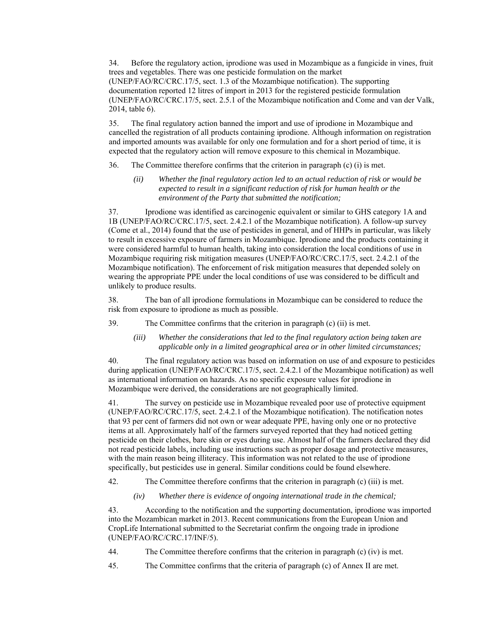34. Before the regulatory action, iprodione was used in Mozambique as a fungicide in vines, fruit trees and vegetables. There was one pesticide formulation on the market (UNEP/FAO/RC/CRC.17/5, sect. 1.3 of the Mozambique notification). The supporting documentation reported 12 litres of import in 2013 for the registered pesticide formulation (UNEP/FAO/RC/CRC.17/5, sect. 2.5.1 of the Mozambique notification and Come and van der Valk, 2014, table 6).

35. The final regulatory action banned the import and use of iprodione in Mozambique and cancelled the registration of all products containing iprodione. Although information on registration and imported amounts was available for only one formulation and for a short period of time, it is expected that the regulatory action will remove exposure to this chemical in Mozambique.

36. The Committee therefore confirms that the criterion in paragraph (c) (i) is met.

*(ii) Whether the final regulatory action led to an actual reduction of risk or would be expected to result in a significant reduction of risk for human health or the environment of the Party that submitted the notification;* 

37. Iprodione was identified as carcinogenic equivalent or similar to GHS category 1A and 1B (UNEP/FAO/RC/CRC.17/5, sect. 2.4.2.1 of the Mozambique notification). A follow-up survey (Come et al., 2014) found that the use of pesticides in general, and of HHPs in particular, was likely to result in excessive exposure of farmers in Mozambique. Iprodione and the products containing it were considered harmful to human health, taking into consideration the local conditions of use in Mozambique requiring risk mitigation measures (UNEP/FAO/RC/CRC.17/5, sect. 2.4.2.1 of the Mozambique notification). The enforcement of risk mitigation measures that depended solely on wearing the appropriate PPE under the local conditions of use was considered to be difficult and unlikely to produce results.

38. The ban of all iprodione formulations in Mozambique can be considered to reduce the risk from exposure to iprodione as much as possible.

39. The Committee confirms that the criterion in paragraph (c) (ii) is met.

*(iii) Whether the considerations that led to the final regulatory action being taken are applicable only in a limited geographical area or in other limited circumstances;* 

40. The final regulatory action was based on information on use of and exposure to pesticides during application (UNEP/FAO/RC/CRC.17/5, sect. 2.4.2.1 of the Mozambique notification) as well as international information on hazards. As no specific exposure values for iprodione in Mozambique were derived, the considerations are not geographically limited.

41. The survey on pesticide use in Mozambique revealed poor use of protective equipment (UNEP/FAO/RC/CRC.17/5, sect. 2.4.2.1 of the Mozambique notification). The notification notes that 93 per cent of farmers did not own or wear adequate PPE, having only one or no protective items at all. Approximately half of the farmers surveyed reported that they had noticed getting pesticide on their clothes, bare skin or eyes during use. Almost half of the farmers declared they did not read pesticide labels, including use instructions such as proper dosage and protective measures, with the main reason being illiteracy. This information was not related to the use of iprodione specifically, but pesticides use in general. Similar conditions could be found elsewhere.

42. The Committee therefore confirms that the criterion in paragraph (c) (iii) is met.

*(iv) Whether there is evidence of ongoing international trade in the chemical;* 

43. According to the notification and the supporting documentation, iprodione was imported into the Mozambican market in 2013. Recent communications from the European Union and CropLife International submitted to the Secretariat confirm the ongoing trade in iprodione (UNEP/FAO/RC/CRC.17/INF/5).

44. The Committee therefore confirms that the criterion in paragraph (c) (iv) is met.

45. The Committee confirms that the criteria of paragraph (c) of Annex II are met.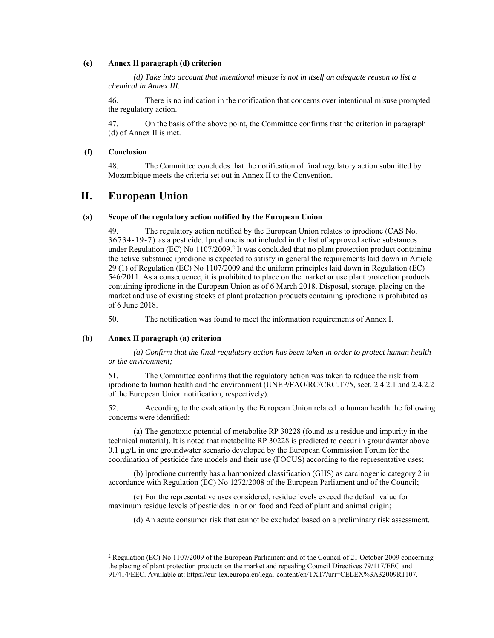#### **(e) Annex II paragraph (d) criterion**

*(d) Take into account that intentional misuse is not in itself an adequate reason to list a chemical in Annex III.* 

46. There is no indication in the notification that concerns over intentional misuse prompted the regulatory action.

47. On the basis of the above point, the Committee confirms that the criterion in paragraph (d) of Annex II is met.

#### **(f) Conclusion**

48. The Committee concludes that the notification of final regulatory action submitted by Mozambique meets the criteria set out in Annex II to the Convention.

### **II. European Union**

#### **(a) Scope of the regulatory action notified by the European Union**

49. The regulatory action notified by the European Union relates to iprodione (CAS No. 36734-19-7) as a pesticide. Iprodione is not included in the list of approved active substances under Regulation (EC) No 1107/2009.<sup>2</sup> It was concluded that no plant protection product containing the active substance iprodione is expected to satisfy in general the requirements laid down in Article 29 (1) of Regulation (EC) No 1107/2009 and the uniform principles laid down in Regulation (EC) 546/2011. As a consequence, it is prohibited to place on the market or use plant protection products containing iprodione in the European Union as of 6 March 2018. Disposal, storage, placing on the market and use of existing stocks of plant protection products containing iprodione is prohibited as of 6 June 2018.

50. The notification was found to meet the information requirements of Annex I.

#### **(b) Annex II paragraph (a) criterion**

*(a) Confirm that the final regulatory action has been taken in order to protect human health or the environment;* 

51. The Committee confirms that the regulatory action was taken to reduce the risk from iprodione to human health and the environment (UNEP/FAO/RC/CRC.17/5, sect. 2.4.2.1 and 2.4.2.2 of the European Union notification, respectively).

52. According to the evaluation by the European Union related to human health the following concerns were identified:

(a) The genotoxic potential of metabolite RP 30228 (found as a residue and impurity in the technical material). It is noted that metabolite RP 30228 is predicted to occur in groundwater above 0.1 µg/L in one groundwater scenario developed by the European Commission Forum for the coordination of pesticide fate models and their use (FOCUS) according to the representative uses;

(b) lprodione currently has a harmonized classification (GHS) as carcinogenic category 2 in accordance with Regulation (EC) No 1272/2008 of the European Parliament and of the Council;

(c) For the representative uses considered, residue levels exceed the default value for maximum residue levels of pesticides in or on food and feed of plant and animal origin;

(d) An acute consumer risk that cannot be excluded based on a preliminary risk assessment.

 $2$  Regulation (EC) No 1107/2009 of the European Parliament and of the Council of 21 October 2009 concerning the placing of plant protection products on the market and repealing Council Directives 79/117/EEC and 91/414/EEC. Available at: https://eur-lex.europa.eu/legal-content/en/TXT/?uri=CELEX%3A32009R1107.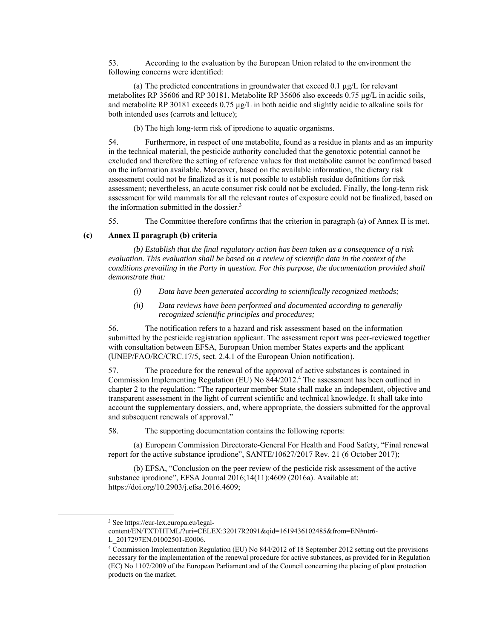53. According to the evaluation by the European Union related to the environment the following concerns were identified:

(a) The predicted concentrations in groundwater that exceed  $0.1 \mu g/L$  for relevant metabolites RP 35606 and RP 30181. Metabolite RP 35606 also exceeds 0.75 µg/L in acidic soils, and metabolite RP 30181 exceeds 0.75 µg/L in both acidic and slightly acidic to alkaline soils for both intended uses (carrots and lettuce);

(b) The high long-term risk of iprodione to aquatic organisms.

54. Furthermore, in respect of one metabolite, found as a residue in plants and as an impurity in the technical material, the pesticide authority concluded that the genotoxic potential cannot be excluded and therefore the setting of reference values for that metabolite cannot be confirmed based on the information available. Moreover, based on the available information, the dietary risk assessment could not be finalized as it is not possible to establish residue definitions for risk assessment; nevertheless, an acute consumer risk could not be excluded. Finally, the long-term risk assessment for wild mammals for all the relevant routes of exposure could not be finalized, based on the information submitted in the dossier.3

55. The Committee therefore confirms that the criterion in paragraph (a) of Annex II is met.

#### **(c) Annex II paragraph (b) criteria**

*(b) Establish that the final regulatory action has been taken as a consequence of a risk evaluation. This evaluation shall be based on a review of scientific data in the context of the conditions prevailing in the Party in question. For this purpose, the documentation provided shall demonstrate that:* 

- *(i) Data have been generated according to scientifically recognized methods;*
- *(ii) Data reviews have been performed and documented according to generally recognized scientific principles and procedures;*

56. The notification refers to a hazard and risk assessment based on the information submitted by the pesticide registration applicant. The assessment report was peer-reviewed together with consultation between EFSA, European Union member States experts and the applicant (UNEP/FAO/RC/CRC.17/5, sect. 2.4.1 of the European Union notification).

57. The procedure for the renewal of the approval of active substances is contained in Commission Implementing Regulation (EU) No 844/2012.4 The assessment has been outlined in chapter 2 to the regulation: "The rapporteur member State shall make an independent, objective and transparent assessment in the light of current scientific and technical knowledge. It shall take into account the supplementary dossiers, and, where appropriate, the dossiers submitted for the approval and subsequent renewals of approval."

58. The supporting documentation contains the following reports:

(a) European Commission Directorate-General For Health and Food Safety, "Final renewal report for the active substance iprodione", SANTE/10627/2017 Rev. 21 (6 October 2017);

(b) EFSA, "Conclusion on the peer review of the pesticide risk assessment of the active substance iprodione", EFSA Journal 2016;14(11):4609 (2016a). Available at: https://doi.org/10.2903/j.efsa.2016.4609;

<sup>3</sup> See https://eur-lex.europa.eu/legal-

content/EN/TXT/HTML/?uri=CELEX:32017R2091&qid=1619436102485&from=EN#ntr6- L\_2017297EN.01002501-E0006.

<sup>4</sup> Commission Implementation Regulation (EU) No 844/2012 of 18 September 2012 setting out the provisions necessary for the implementation of the renewal procedure for active substances, as provided for in Regulation (EC) No 1107/2009 of the European Parliament and of the Council concerning the placing of plant protection products on the market.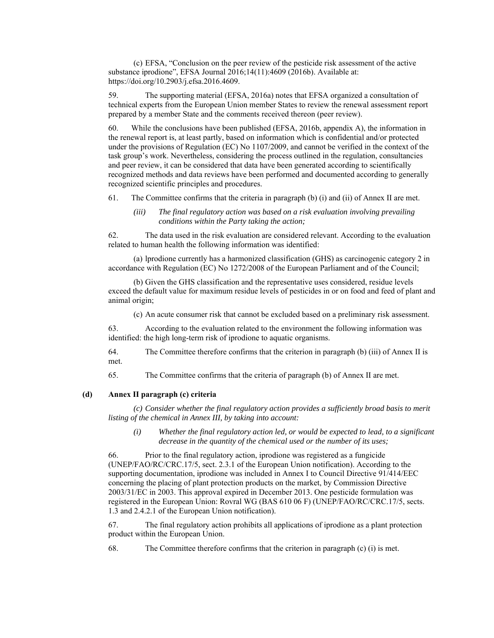(c) EFSA, "Conclusion on the peer review of the pesticide risk assessment of the active substance iprodione", EFSA Journal 2016;14(11):4609 (2016b). Available at: https://doi.org/10.2903/j.efsa.2016.4609.

59. The supporting material (EFSA, 2016a) notes that EFSA organized a consultation of technical experts from the European Union member States to review the renewal assessment report prepared by a member State and the comments received thereon (peer review).

60. While the conclusions have been published (EFSA, 2016b, appendix A), the information in the renewal report is, at least partly, based on information which is confidential and/or protected under the provisions of Regulation (EC) No 1107/2009, and cannot be verified in the context of the task group's work. Nevertheless, considering the process outlined in the regulation, consultancies and peer review, it can be considered that data have been generated according to scientifically recognized methods and data reviews have been performed and documented according to generally recognized scientific principles and procedures.

61. The Committee confirms that the criteria in paragraph (b) (i) and (ii) of Annex II are met.

*(iii) The final regulatory action was based on a risk evaluation involving prevailing conditions within the Party taking the action;* 

62. The data used in the risk evaluation are considered relevant. According to the evaluation related to human health the following information was identified:

(a) lprodione currently has a harmonized classification (GHS) as carcinogenic category 2 in accordance with Regulation (EC) No 1272/2008 of the European Parliament and of the Council;

(b) Given the GHS classification and the representative uses considered, residue levels exceed the default value for maximum residue levels of pesticides in or on food and feed of plant and animal origin;

(c) An acute consumer risk that cannot be excluded based on a preliminary risk assessment.

63. According to the evaluation related to the environment the following information was identified: the high long-term risk of iprodione to aquatic organisms.

64. The Committee therefore confirms that the criterion in paragraph (b) (iii) of Annex II is met.

65. The Committee confirms that the criteria of paragraph (b) of Annex II are met.

#### **(d) Annex II paragraph (c) criteria**

*(c) Consider whether the final regulatory action provides a sufficiently broad basis to merit listing of the chemical in Annex III, by taking into account:* 

*(i) Whether the final regulatory action led, or would be expected to lead, to a significant decrease in the quantity of the chemical used or the number of its uses;* 

66. Prior to the final regulatory action, iprodione was registered as a fungicide (UNEP/FAO/RC/CRC.17/5, sect. 2.3.1 of the European Union notification). According to the supporting documentation, iprodione was included in Annex I to Council Directive 91/414/EEC concerning the placing of plant protection products on the market, by Commission Directive 2003/31/EC in 2003. This approval expired in December 2013. One pesticide formulation was registered in the European Union: Rovral WG (BAS 610 06 F) (UNEP/FAO/RC/CRC.17/5, sects. 1.3 and 2.4.2.1 of the European Union notification).

67. The final regulatory action prohibits all applications of iprodione as a plant protection product within the European Union.

68. The Committee therefore confirms that the criterion in paragraph (c) (i) is met.